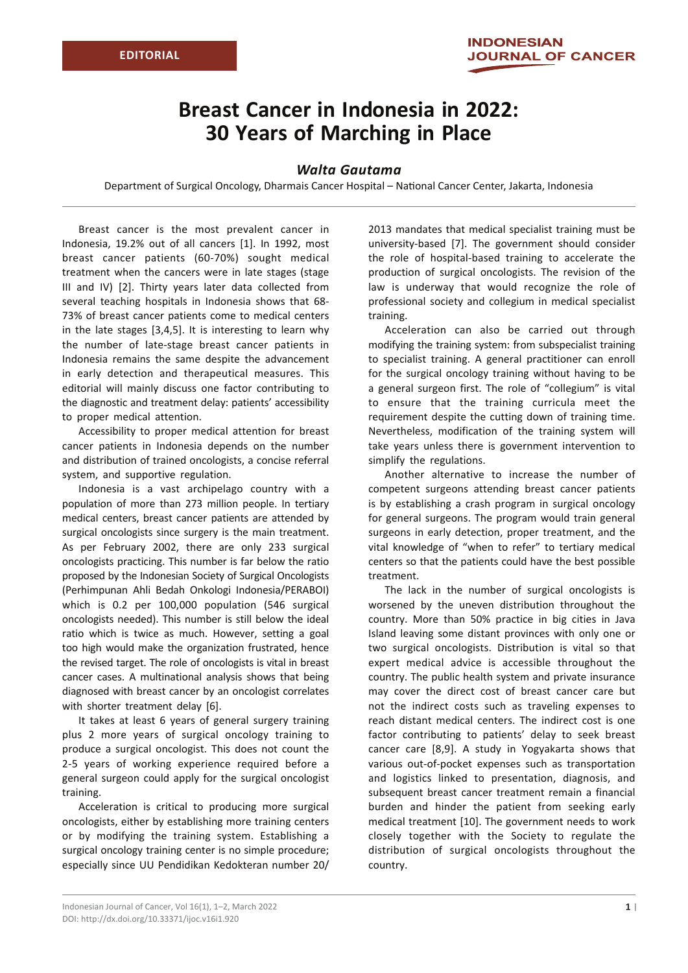## **Breast Cancer in Indonesia in 2022: 30 Years of Marching in Place**

## *Walta Gautama*

Department of Surgical Oncology, Dharmais Cancer Hospital – National Cancer Center, Jakarta, Indonesia

Breast cancer is the most prevalent cancer in Indonesia, 19.2% out of all cancers [1]. In 1992, most breast cancer patients (60-70%) sought medical treatment when the cancers were in late stages (stage III and IV) [2]. Thirty years later data collected from several teaching hospitals in Indonesia shows that 68- 73% of breast cancer patients come to medical centers in the late stages [3,4,5]. It is interesting to learn why the number of late-stage breast cancer patients in Indonesia remains the same despite the advancement in early detection and therapeutical measures. This editorial will mainly discuss one factor contributing to the diagnostic and treatment delay: patients' accessibility to proper medical attention.

Accessibility to proper medical attention for breast cancer patients in Indonesia depends on the number and distribution of trained oncologists, a concise referral system, and supportive regulation.

Indonesia is a vast archipelago country with a population of more than 273 million people. In tertiary medical centers, breast cancer patients are attended by surgical oncologists since surgery is the main treatment. As per February 2002, there are only 233 surgical oncologists practicing. This number is far below the ratio proposed by the Indonesian Society of Surgical Oncologists (Perhimpunan Ahli Bedah Onkologi Indonesia/PERABOI) which is 0.2 per 100,000 population (546 surgical oncologists needed). This number is still below the ideal ratio which is twice as much. However, setting a goal too high would make the organization frustrated, hence the revised target. The role of oncologists is vital in breast cancer cases. A multinational analysis shows that being diagnosed with breast cancer by an oncologist correlates with shorter treatment delay [6].

It takes at least 6 years of general surgery training plus 2 more years of surgical oncology training to produce a surgical oncologist. This does not count the 2-5 years of working experience required before a general surgeon could apply for the surgical oncologist training.

Acceleration is critical to producing more surgical oncologists, either by establishing more training centers or by modifying the training system. Establishing a surgical oncology training center is no simple procedure; especially since UU Pendidikan Kedokteran number 20/ 2013 mandates that medical specialist training must be university-based [7]. The government should consider the role of hospital-based training to accelerate the production of surgical oncologists. The revision of the law is underway that would recognize the role of professional society and collegium in medical specialist training.

Acceleration can also be carried out through modifying the training system: from subspecialist training to specialist training. A general practitioner can enroll for the surgical oncology training without having to be a general surgeon first. The role of "collegium" is vital to ensure that the training curricula meet the requirement despite the cutting down of training time. Nevertheless, modification of the training system will take years unless there is government intervention to simplify the regulations.

Another alternative to increase the number of competent surgeons attending breast cancer patients is by establishing a crash program in surgical oncology for general surgeons. The program would train general surgeons in early detection, proper treatment, and the vital knowledge of "when to refer" to tertiary medical centers so that the patients could have the best possible treatment.

The lack in the number of surgical oncologists is worsened by the uneven distribution throughout the country. More than 50% practice in big cities in Java Island leaving some distant provinces with only one or two surgical oncologists. Distribution is vital so that expert medical advice is accessible throughout the country. The public health system and private insurance may cover the direct cost of breast cancer care but not the indirect costs such as traveling expenses to reach distant medical centers. The indirect cost is one factor contributing to patients' delay to seek breast cancer care [8,9]. A study in Yogyakarta shows that various out-of-pocket expenses such as transportation and logistics linked to presentation, diagnosis, and subsequent breast cancer treatment remain a financial burden and hinder the patient from seeking early medical treatment [10]. The government needs to work closely together with the Society to regulate the distribution of surgical oncologists throughout the country.